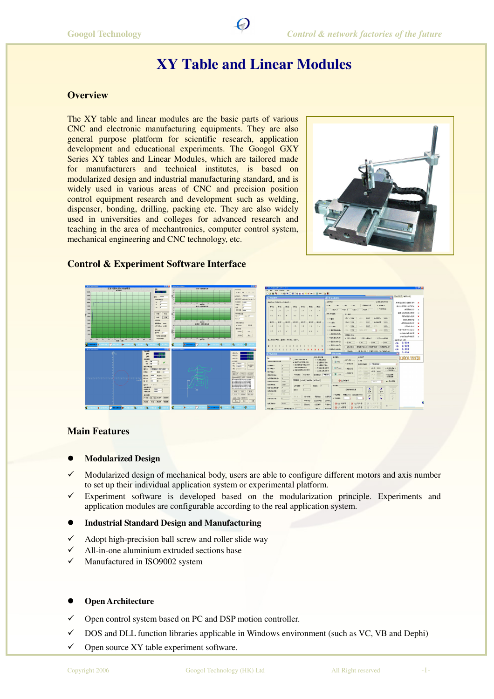# **XY Table and Linear Modules**

## **Overview**

The XY table and linear modules are the basic parts of various CNC and electronic manufacturing equipments. They are also general purpose platform for scientific research, application development and educational experiments. The Googol GXY Series XY tables and Linear Modules, which are tailored made for manufacturers and technical institutes, is based on modularized design and industrial manufacturing standard, and is widely used in various areas of CNC and precision position control equipment research and development such as welding, dispenser, bonding, drilling, packing etc. They are also widely used in universities and colleges for advanced research and teaching in the area of mechantronics, computer control system, mechanical engineering and CNC technology, etc.



#### **Control & Experiment Software Interface**



| Conservator, ECI 314                                                                                                                  |                         | R-8 May Window Hard       |                                                     |                          |                                   |                                                                              |                                                                      |                                                              |                                   |                           |                 |                           |                     |         |                             | <b>FIGIN</b> |  |
|---------------------------------------------------------------------------------------------------------------------------------------|-------------------------|---------------------------|-----------------------------------------------------|--------------------------|-----------------------------------|------------------------------------------------------------------------------|----------------------------------------------------------------------|--------------------------------------------------------------|-----------------------------------|---------------------------|-----------------|---------------------------|---------------------|---------|-----------------------------|--------------|--|
|                                                                                                                                       |                         |                           |                                                     |                          |                                   |                                                                              |                                                                      |                                                              |                                   |                           |                 |                           |                     |         |                             |              |  |
| 编出的制                                                                                                                                  |                         |                           |                                                     |                          |                                   | <b>PERINGADE GKORY - EUM AB</b>                                              |                                                                      | 基本生机系数的制                                                     |                                   |                           |                 |                           | $\overline{a}$      |         | 年秋ズ状況 輸取状态]                 |              |  |
|                                                                                                                                       |                         | STAGE THROW T . LTD EARTH |                                                     |                          |                                   |                                                                              | 12/10/12 01:                                                         |                                                              |                                   |                           |                 | <b>GRES GALBSTT</b>       |                     |         | Si N1445年67千里长/9-9          | ×            |  |
| Molt.                                                                                                                                 | $W1 \cap r$             | $W_2$                     | Work <sup>2</sup>                                   | Wir?                     | Mot:                              | Mary                                                                         | $\alpha$ : No                                                        | 0.256                                                        | 0.381<br>0.48                     | 生物典制能体                    |                 | R ROOM IT                 |                     |         | <b>NONE MAILEY-MARKS</b> In | ×            |  |
| O <sub>0</sub>                                                                                                                        | 00                      | O <sub>0</sub>            | OB.                                                 | 00                       | 0.6                               | O.N                                                                          |                                                                      | 3 KOR+ 32                                                    | $r$ and $\bullet$ 12<br>1248 + 12 | $1688 + 1$                |                 | ○不良改善正                    |                     |         | (国家展用社会)                    | $\mathbf{x}$ |  |
|                                                                                                                                       |                         |                           |                                                     |                          |                                   |                                                                              | 3525 W27415                                                          |                                                              | <b>Mt-AP</b>                      |                           |                 |                           |                     |         | 開発を処置の際の機等                  | $\mathbf{x}$ |  |
| 6.1.                                                                                                                                  | <b>ALC</b>              | a.                        | 81.1                                                | <b>MA</b>                | a c                               | <b>ALC</b>                                                                   | $8.1775$ M                                                           |                                                              | <0.5 : 0.000                      | 280                       | 0000            | 大选项(2)                    | 0.800               |         | 表示のことに関係                    | ٠            |  |
| Madr.                                                                                                                                 | 8502                    | <b>DEL OTT</b>            | 除い物                                                 | 89.202                   | <b>MY HT</b>                      | Mistr.                                                                       |                                                                      |                                                              | 19561, 0000                       | 50001                     | 0000            | <b>WASHING</b>            | 0.800               |         | <b>JOINTE MUSICA RD</b>     | ×            |  |
| O <sub>D</sub>                                                                                                                        | ΟØ                      | 0.9                       | n                                                   | $\Box$                   | cva.                              | O.3                                                                          | 自立方面部<br>ZIS A F 3.000<br>2014.07<br>0000<br><b>OUTCO</b><br>0.02409 |                                                              |                                   | 0.800                     |                 | 导常时目动等元件<br>21081-875     | ٠<br>×              |         |                             |              |  |
|                                                                                                                                       |                         |                           |                                                     |                          |                                   |                                                                              |                                                                      | ○30 製浆器も複数:                                                  | 27.6 c (1000)                     | 用行硅材料1                    | т               | R<br>$MSE$ : in trim      |                     |         | 当第五进封 926系第六                | ٠            |  |
| <b>KIT</b>                                                                                                                            | 34.0                    | si n                      | 911                                                 | $-11$                    | $\mathbf{u}$                      | 911                                                                          |                                                                      | O VIRGE BULGARY                                              |                                   |                           |                 |                           |                     |         | <b>NHOMESTER</b>            | $\mathbf x$  |  |
|                                                                                                                                       |                         |                           |                                                     |                          |                                   |                                                                              |                                                                      | ○ ZHIBKU 回心角度)                                               | 空間電話用点<br>※ 疑問の情報点                | n Withwright of           |                 | ○香気の石脂族点                  |                     |         | 分解方便会費変換等                   | $\mathbf{v}$ |  |
| Attitudio 201, 第四半に写真 201, 作前半に                                                                                                       |                         |                           |                                                     |                          |                                   |                                                                              |                                                                      | ○30期間加減4倍<br>$-0.000$<br>$= 10000$<br>v: lem<br>$z$ : in one |                                   |                           |                 |                           |                     | 生株系布産の業 | 0.000                       |              |  |
|                                                                                                                                       |                         |                           |                                                     |                          |                                   |                                                                              |                                                                      | O.YZRFE15 A-RV                                               |                                   |                           |                 |                           |                     | TOO.    | 0.000                       |              |  |
| $-12$<br>10 11 12 13 14 15<br>R.<br>$\rightarrow$<br>$\sim$<br>$\mathbf{R}$<br>$\rightarrow$<br>×<br><b>XXXXX</b><br><b>XXXXXXXXX</b> |                         |                           |                                                     |                          |                                   | 166.<br>SINENTAS TNENTAS NEWSIGS<br>26491<br>0.000<br>246<br>CLZSREAD 418791 |                                                                      |                                                              |                                   |                           |                 |                           |                     |         |                             |              |  |
|                                                                                                                                       |                         |                           |                                                     |                          |                                   |                                                                              |                                                                      |                                                              | <b>Howas</b>                      | ○ 中国語の注射 平滑器小注射 丸竹銀板(金を)  |                 |                           |                     |         | 0.000                       |              |  |
| 560324                                                                                                                                |                         |                           |                                                     |                          |                                   |                                                                              |                                                                      | 双手分裂组                                                        |                                   |                           |                 |                           |                     | 図       |                             |              |  |
|                                                                                                                                       |                         |                           |                                                     |                          |                                   | 置合玉玉の置                                                                       |                                                                      | naes                                                         |                                   | お店店の                      |                 |                           |                     |         | XXXXX STRICH                |              |  |
|                                                                                                                                       |                         |                           | □ 役録弁件項目実例                                          |                          |                                   | $\times$ hunter.                                                             |                                                                      | <b>El flun</b>                                               | 设作者式                              | 01356                     |                 |                           |                     |         |                             |              |  |
| 最新加熱性関節<br>◎ 施成外界支援期 行制<br>○子の問題を有き                                                                                                   |                         |                           |                                                     |                          |                                   |                                                                              | $x$ electric                                                         | <b>REPORTER</b>                                              | <b>NYFR直接通路</b>                   |                           |                 |                           |                     |         |                             |              |  |
| 1220                                                                                                                                  | 6                       |                           |                                                     | v (Cubitégravité) / chin |                                   | ○自の関係を実施                                                                     |                                                                      |                                                              |                                   |                           |                 |                           |                     |         |                             |              |  |
| 1.2289                                                                                                                                | $\overline{\mathbf{a}}$ |                           | 参加利益学術有效<br>○ 療法加算新資金計<br>2 当前開発課目研究事件<br>の活動条件所の資源 |                          |                                   |                                                                              | El Peuse                                                             | 確認は行                                                         | elife = 0.000                     | MED: 0.00<br>vita: logal  |                 | · didindar X<br>ONORSHALA |                     |         |                             |              |  |
| 198911                                                                                                                                | 6                       |                           |                                                     |                          |                                   |                                                                              |                                                                      |                                                              | $-90090$                          | <b>Pan Garro</b>          |                 |                           |                     |         |                             |              |  |
| cntess:                                                                                                                               | ñ                       |                           |                                                     | 100 diff. Bill month.    |                                   | MISSE: UKBAR                                                                 |                                                                      | $\Box$ 2005                                                  |                                   | ZREAR RADO<br>Box : 0.000 | 232.65<br>H4P.1 | <b>h</b> xa<br>locent     | ALLET DVD<br>120729 |         |                             |              |  |
| <b>PRINCIPALE</b><br>h<br>※※曲米  odpik   運便期限   电子齿轮  <br>13717<br><b>ISCONSCIOUS</b>                                                  |                         |                           |                                                     |                          |                                   |                                                                              | の中研修業                                                                | IDP VIZING                                                   | <b>LESTAR</b>                     |                           | r> #wath        |                           |                     |         |                             |              |  |
| 322<br>1000031<br>$\alpha$<br>加发度; ><br>2003年                                                                                         |                         |                           | 洋法稳长                                                |                          |                                   |                                                                              |                                                                      |                                                              |                                   |                           |                 |                           |                     |         |                             |              |  |
| のこの対応:                                                                                                                                | m.                      |                           |                                                     |                          |                                   |                                                                              |                                                                      |                                                              |                                   |                           | A               | А                         | A.                  |         |                             |              |  |
| $\overline{u}$<br>dot:<br><b>SURVEY</b><br>100.47                                                                                     |                         |                           |                                                     |                          | 空缺于传教设置<br>$X +$<br>$V +$<br>$Z+$ |                                                                              |                                                                      |                                                              |                                   |                           |                 |                           |                     |         |                             |              |  |
| 4300<br>初期に<br><b>GIRMAN</b><br><b>IDSREA</b><br>进行报告                                                                                 |                         |                           | 冷器詰め                                                | 3-2109                   | 提供某(rm) 进展建设(mn));                |                                                                              | $X -$                                                                | Y-                                                           | $\mathbb{Z}$                      |                           |                 |                           |                     |         |                             |              |  |
| 10307101                                                                                                                              | σ                       |                           | 貢留と言                                                |                          | 4988                              | 介護維持官                                                                        | 交際移動                                                                 | $x$ of statics.                                              | Б                                 | 55<br>E                   | ۷               | ¥                         | $\mathcal{C}$       |         |                             |              |  |
| LEGAL:                                                                                                                                |                         | huzun                     | 1097377                                             |                          | Mittell'V                         | 9570                                                                         | 冲流界台                                                                 | GILNFR                                                       |                                   | ◎在向同学                     | (Binear) 四年     |                           | <b>STATE OF</b>     |         |                             |              |  |
|                                                                                                                                       |                         |                           |                                                     |                          |                                   |                                                                              |                                                                      |                                                              |                                   |                           |                 |                           |                     |         |                             |              |  |

#### **Main Features**

#### **Modularized Design**

- $\checkmark$  Modularized design of mechanical body, users are able to configure different motors and axis number to set up their individual application system or experimental platform.
- $\checkmark$  Experiment software is developed based on the modularization principle. Experiments and application modules are configurable according to the real application system.

#### **Industrial Standard Design and Manufacturing**

- $\checkmark$ Adopt high-precision ball screw and roller slide way
- $\checkmark$ All-in-one aluminium extruded sections base
- $\checkmark$ Manufactured in ISO9002 system

#### **Open Architecture**

- $\checkmark$ Open control system based on PC and DSP motion controller.
- $\checkmark$ DOS and DLL function libraries applicable in Windows environment (such as VC, VB and Dephi)
- $\checkmark$ Open source XY table experiment software.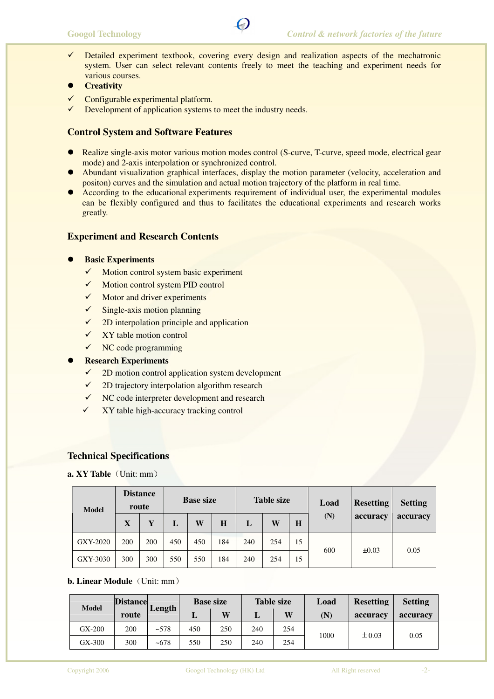- $\checkmark$  Detailed experiment textbook, covering every design and realization aspects of the mechatronic system. User can select relevant contents freely to meet the teaching and experiment needs for various courses.
- **Creativity**
- $\checkmark$ Configurable experimental platform.
- $\checkmark$ Development of application systems to meet the industry needs.

## **Control System and Software Features**

- Realize single-axis motor various motion modes control (S-curve, T-curve, speed mode, electrical gear mode) and 2-axis interpolation or synchronized control.
- Abundant visualization graphical interfaces, display the motion parameter (velocity, acceleration and positon) curves and the simulation and actual motion trajectory of the platform in real time.
- According to the educational experiments requirement of individual user, the experimental modules can be flexibly configured and thus to facilitates the educational experiments and research works greatly.

#### **Experiment and Research Contents**

#### **Basic Experiments**

- $\checkmark$ Motion control system basic experiment
- $\checkmark$ Motion control system PID control
- $\checkmark$ Motor and driver experiments
- $\checkmark$ Single-axis motion planning
- $\checkmark$  2D interpolation principle and application
- $\checkmark$ XY table motion control
- $\checkmark$  NC code programming
- **Research Experiments** 
	- $\checkmark$ 2D motion control application system development
	- $\checkmark$ 2D trajectory interpolation algorithm research
	- NC code interpreter development and research
	- $\checkmark$ XY table high-accuracy tracking control

#### **Technical Specifications**

**a. XY Table**(Unit: mm)

| <b>Model</b> | <b>Distance</b><br>route |     | <b>Base size</b> |     |     | <b>Table size</b> |     |         | Load | <b>Resetting</b> | <b>Setting</b> |  |
|--------------|--------------------------|-----|------------------|-----|-----|-------------------|-----|---------|------|------------------|----------------|--|
|              | $\mathbf X$              | Y   | L                | W   | H   | L                 | W   | $\bf H$ | (N)  | accuracy         | accuracy       |  |
| GXY-2020     | 200                      | 200 | 450              | 450 | 184 | 240               | 254 | 15      | 600  | $\pm 0.03$       | 0.05           |  |
| GXY-3030     | 300                      | 300 | 550              | 550 | 184 | 240               | 254 | 15      |      |                  |                |  |

## **b. Linear Module** (Unit: mm)

| <b>Model</b> | <b>Distance</b> | Length    | <b>Base size</b> |     | <b>Table size</b> |     | Load        | <b>Resetting</b> | <b>Setting</b> |
|--------------|-----------------|-----------|------------------|-----|-------------------|-----|-------------|------------------|----------------|
|              | route           |           | ┸                | W   |                   | W   | $({\bf N})$ | accuracy         | accuracy       |
| $GX-200$     | 200             | ~578      | 450              | 250 | 240               | 254 | 1000        | $\pm 0.03$       | 0.05           |
| $GX-300$     | 300             | $~10-678$ | 550              | 250 | 240               | 254 |             |                  |                |